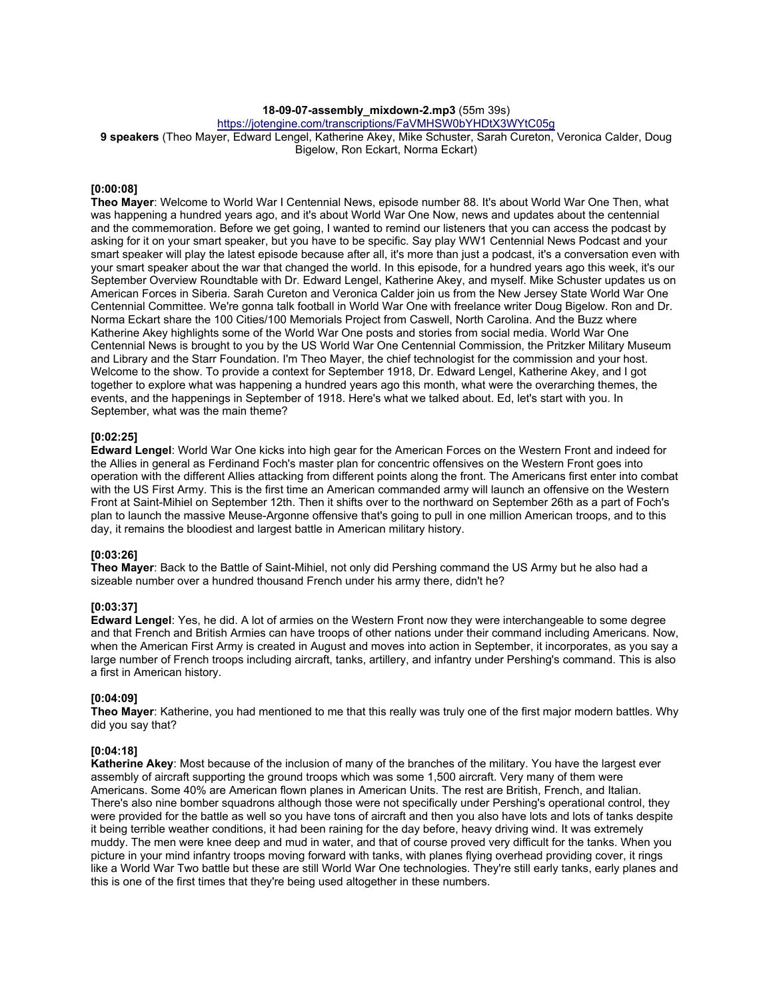## **18-09-07-assembly\_mixdown-2.mp3** (55m 39s)

https://jotengine.com/transcriptions/FaVMHSW0bYHDtX3WYtC05g

**9 speakers** (Theo Mayer, Edward Lengel, Katherine Akey, Mike Schuster, Sarah Cureton, Veronica Calder, Doug Bigelow, Ron Eckart, Norma Eckart)

### **[0:00:08]**

**Theo Mayer**: Welcome to World War I Centennial News, episode number 88. It's about World War One Then, what was happening a hundred years ago, and it's about World War One Now, news and updates about the centennial and the commemoration. Before we get going, I wanted to remind our listeners that you can access the podcast by asking for it on your smart speaker, but you have to be specific. Say play WW1 Centennial News Podcast and your smart speaker will play the latest episode because after all, it's more than just a podcast, it's a conversation even with your smart speaker about the war that changed the world. In this episode, for a hundred years ago this week, it's our September Overview Roundtable with Dr. Edward Lengel, Katherine Akey, and myself. Mike Schuster updates us on American Forces in Siberia. Sarah Cureton and Veronica Calder join us from the New Jersey State World War One Centennial Committee. We're gonna talk football in World War One with freelance writer Doug Bigelow. Ron and Dr. Norma Eckart share the 100 Cities/100 Memorials Project from Caswell, North Carolina. And the Buzz where Katherine Akey highlights some of the World War One posts and stories from social media. World War One Centennial News is brought to you by the US World War One Centennial Commission, the Pritzker Military Museum and Library and the Starr Foundation. I'm Theo Mayer, the chief technologist for the commission and your host. Welcome to the show. To provide a context for September 1918, Dr. Edward Lengel, Katherine Akey, and I got together to explore what was happening a hundred years ago this month, what were the overarching themes, the events, and the happenings in September of 1918. Here's what we talked about. Ed, let's start with you. In September, what was the main theme?

## **[0:02:25]**

**Edward Lengel**: World War One kicks into high gear for the American Forces on the Western Front and indeed for the Allies in general as Ferdinand Foch's master plan for concentric offensives on the Western Front goes into operation with the different Allies attacking from different points along the front. The Americans first enter into combat with the US First Army. This is the first time an American commanded army will launch an offensive on the Western Front at Saint-Mihiel on September 12th. Then it shifts over to the northward on September 26th as a part of Foch's plan to launch the massive Meuse-Argonne offensive that's going to pull in one million American troops, and to this day, it remains the bloodiest and largest battle in American military history.

### **[0:03:26]**

**Theo Mayer**: Back to the Battle of Saint-Mihiel, not only did Pershing command the US Army but he also had a sizeable number over a hundred thousand French under his army there, didn't he?

### **[0:03:37]**

**Edward Lengel**: Yes, he did. A lot of armies on the Western Front now they were interchangeable to some degree and that French and British Armies can have troops of other nations under their command including Americans. Now, when the American First Army is created in August and moves into action in September, it incorporates, as you say a large number of French troops including aircraft, tanks, artillery, and infantry under Pershing's command. This is also a first in American history.

### **[0:04:09]**

**Theo Mayer**: Katherine, you had mentioned to me that this really was truly one of the first major modern battles. Why did you say that?

### **[0:04:18]**

**Katherine Akey**: Most because of the inclusion of many of the branches of the military. You have the largest ever assembly of aircraft supporting the ground troops which was some 1,500 aircraft. Very many of them were Americans. Some 40% are American flown planes in American Units. The rest are British, French, and Italian. There's also nine bomber squadrons although those were not specifically under Pershing's operational control, they were provided for the battle as well so you have tons of aircraft and then you also have lots and lots of tanks despite it being terrible weather conditions, it had been raining for the day before, heavy driving wind. It was extremely muddy. The men were knee deep and mud in water, and that of course proved very difficult for the tanks. When you picture in your mind infantry troops moving forward with tanks, with planes flying overhead providing cover, it rings like a World War Two battle but these are still World War One technologies. They're still early tanks, early planes and this is one of the first times that they're being used altogether in these numbers.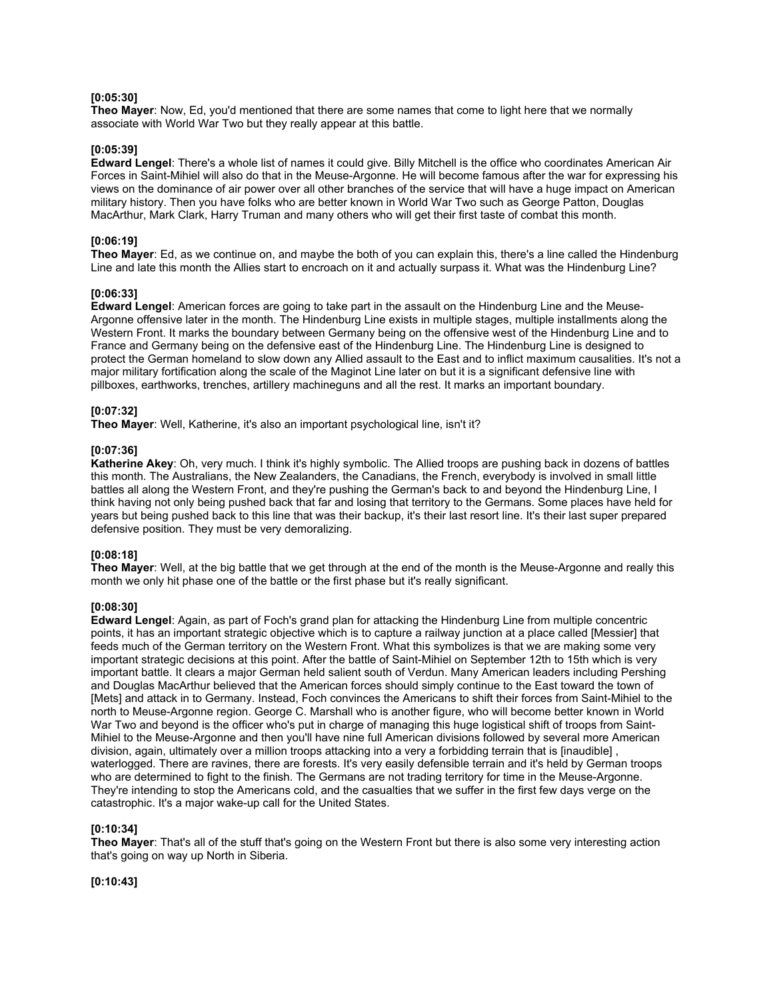#### **[0:05:30]**

**Theo Mayer**: Now, Ed, you'd mentioned that there are some names that come to light here that we normally associate with World War Two but they really appear at this battle.

#### **[0:05:39]**

**Edward Lengel**: There's a whole list of names it could give. Billy Mitchell is the office who coordinates American Air Forces in Saint-Mihiel will also do that in the Meuse-Argonne. He will become famous after the war for expressing his views on the dominance of air power over all other branches of the service that will have a huge impact on American military history. Then you have folks who are better known in World War Two such as George Patton, Douglas MacArthur, Mark Clark, Harry Truman and many others who will get their first taste of combat this month.

# **[0:06:19]**

**Theo Mayer**: Ed, as we continue on, and maybe the both of you can explain this, there's a line called the Hindenburg Line and late this month the Allies start to encroach on it and actually surpass it. What was the Hindenburg Line?

#### **[0:06:33]**

**Edward Lengel**: American forces are going to take part in the assault on the Hindenburg Line and the Meuse-Argonne offensive later in the month. The Hindenburg Line exists in multiple stages, multiple installments along the Western Front. It marks the boundary between Germany being on the offensive west of the Hindenburg Line and to France and Germany being on the defensive east of the Hindenburg Line. The Hindenburg Line is designed to protect the German homeland to slow down any Allied assault to the East and to inflict maximum causalities. It's not a major military fortification along the scale of the Maginot Line later on but it is a significant defensive line with pillboxes, earthworks, trenches, artillery machineguns and all the rest. It marks an important boundary.

## **[0:07:32]**

**Theo Mayer**: Well, Katherine, it's also an important psychological line, isn't it?

#### **[0:07:36]**

**Katherine Akey**: Oh, very much. I think it's highly symbolic. The Allied troops are pushing back in dozens of battles this month. The Australians, the New Zealanders, the Canadians, the French, everybody is involved in small little battles all along the Western Front, and they're pushing the German's back to and beyond the Hindenburg Line, I think having not only being pushed back that far and losing that territory to the Germans. Some places have held for years but being pushed back to this line that was their backup, it's their last resort line. It's their last super prepared defensive position. They must be very demoralizing.

### **[0:08:18]**

**Theo Mayer**: Well, at the big battle that we get through at the end of the month is the Meuse-Argonne and really this month we only hit phase one of the battle or the first phase but it's really significant.

### **[0:08:30]**

**Edward Lengel**: Again, as part of Foch's grand plan for attacking the Hindenburg Line from multiple concentric points, it has an important strategic objective which is to capture a railway junction at a place called [Messier] that feeds much of the German territory on the Western Front. What this symbolizes is that we are making some very important strategic decisions at this point. After the battle of Saint-Mihiel on September 12th to 15th which is very important battle. It clears a major German held salient south of Verdun. Many American leaders including Pershing and Douglas MacArthur believed that the American forces should simply continue to the East toward the town of [Mets] and attack in to Germany. Instead, Foch convinces the Americans to shift their forces from Saint-Mihiel to the north to Meuse-Argonne region. George C. Marshall who is another figure, who will become better known in World War Two and beyond is the officer who's put in charge of managing this huge logistical shift of troops from Saint-Mihiel to the Meuse-Argonne and then you'll have nine full American divisions followed by several more American division, again, ultimately over a million troops attacking into a very a forbidding terrain that is [inaudible], waterlogged. There are ravines, there are forests. It's very easily defensible terrain and it's held by German troops who are determined to fight to the finish. The Germans are not trading territory for time in the Meuse-Argonne. They're intending to stop the Americans cold, and the casualties that we suffer in the first few days verge on the catastrophic. It's a major wake-up call for the United States.

### **[0:10:34]**

**Theo Mayer**: That's all of the stuff that's going on the Western Front but there is also some very interesting action that's going on way up North in Siberia.

## **[0:10:43]**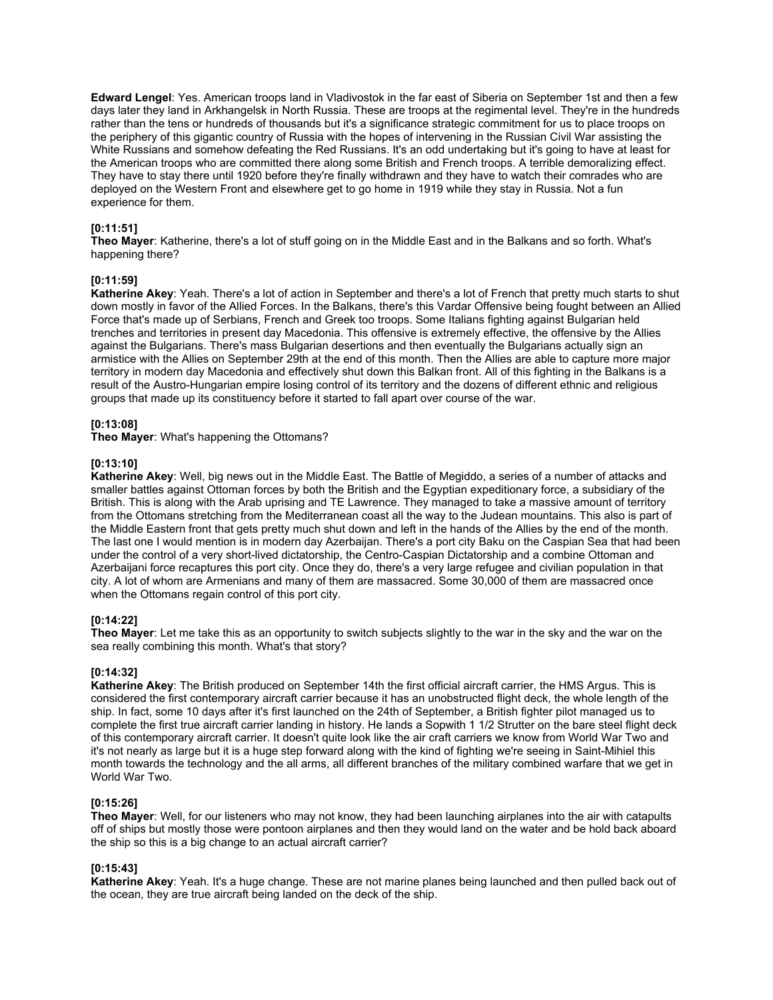**Edward Lengel**: Yes. American troops land in Vladivostok in the far east of Siberia on September 1st and then a few days later they land in Arkhangelsk in North Russia. These are troops at the regimental level. They're in the hundreds rather than the tens or hundreds of thousands but it's a significance strategic commitment for us to place troops on the periphery of this gigantic country of Russia with the hopes of intervening in the Russian Civil War assisting the White Russians and somehow defeating the Red Russians. It's an odd undertaking but it's going to have at least for the American troops who are committed there along some British and French troops. A terrible demoralizing effect. They have to stay there until 1920 before they're finally withdrawn and they have to watch their comrades who are deployed on the Western Front and elsewhere get to go home in 1919 while they stay in Russia. Not a fun experience for them.

## **[0:11:51]**

**Theo Mayer**: Katherine, there's a lot of stuff going on in the Middle East and in the Balkans and so forth. What's happening there?

### **[0:11:59]**

**Katherine Akey**: Yeah. There's a lot of action in September and there's a lot of French that pretty much starts to shut down mostly in favor of the Allied Forces. In the Balkans, there's this Vardar Offensive being fought between an Allied Force that's made up of Serbians, French and Greek too troops. Some Italians fighting against Bulgarian held trenches and territories in present day Macedonia. This offensive is extremely effective, the offensive by the Allies against the Bulgarians. There's mass Bulgarian desertions and then eventually the Bulgarians actually sign an armistice with the Allies on September 29th at the end of this month. Then the Allies are able to capture more major territory in modern day Macedonia and effectively shut down this Balkan front. All of this fighting in the Balkans is a result of the Austro-Hungarian empire losing control of its territory and the dozens of different ethnic and religious groups that made up its constituency before it started to fall apart over course of the war.

## **[0:13:08]**

**Theo Mayer**: What's happening the Ottomans?

### **[0:13:10]**

**Katherine Akey**: Well, big news out in the Middle East. The Battle of Megiddo, a series of a number of attacks and smaller battles against Ottoman forces by both the British and the Egyptian expeditionary force, a subsidiary of the British. This is along with the Arab uprising and TE Lawrence. They managed to take a massive amount of territory from the Ottomans stretching from the Mediterranean coast all the way to the Judean mountains. This also is part of the Middle Eastern front that gets pretty much shut down and left in the hands of the Allies by the end of the month. The last one I would mention is in modern day Azerbaijan. There's a port city Baku on the Caspian Sea that had been under the control of a very short-lived dictatorship, the Centro-Caspian Dictatorship and a combine Ottoman and Azerbaijani force recaptures this port city. Once they do, there's a very large refugee and civilian population in that city. A lot of whom are Armenians and many of them are massacred. Some 30,000 of them are massacred once when the Ottomans regain control of this port city.

### **[0:14:22]**

**Theo Mayer**: Let me take this as an opportunity to switch subjects slightly to the war in the sky and the war on the sea really combining this month. What's that story?

### **[0:14:32]**

**Katherine Akey**: The British produced on September 14th the first official aircraft carrier, the HMS Argus. This is considered the first contemporary aircraft carrier because it has an unobstructed flight deck, the whole length of the ship. In fact, some 10 days after it's first launched on the 24th of September, a British fighter pilot managed us to complete the first true aircraft carrier landing in history. He lands a Sopwith 1 1/2 Strutter on the bare steel flight deck of this contemporary aircraft carrier. It doesn't quite look like the air craft carriers we know from World War Two and it's not nearly as large but it is a huge step forward along with the kind of fighting we're seeing in Saint-Mihiel this month towards the technology and the all arms, all different branches of the military combined warfare that we get in World War Two.

### **[0:15:26]**

**Theo Mayer**: Well, for our listeners who may not know, they had been launching airplanes into the air with catapults off of ships but mostly those were pontoon airplanes and then they would land on the water and be hold back aboard the ship so this is a big change to an actual aircraft carrier?

# **[0:15:43]**

**Katherine Akey**: Yeah. It's a huge change. These are not marine planes being launched and then pulled back out of the ocean, they are true aircraft being landed on the deck of the ship.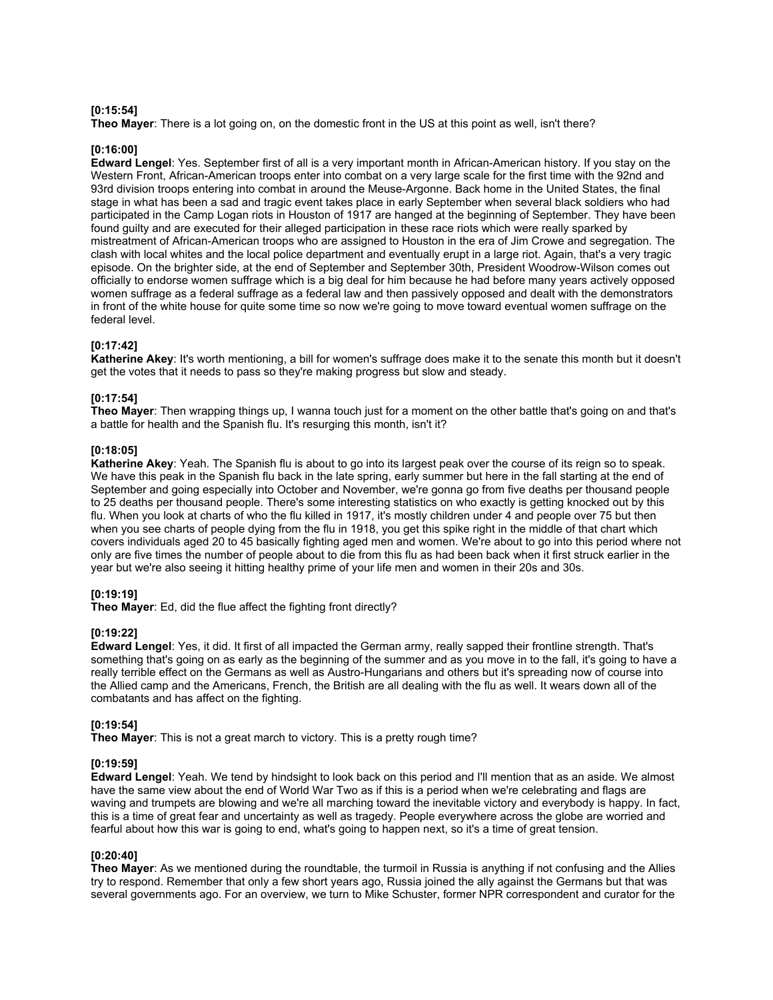## **[0:15:54]**

**Theo Mayer**: There is a lot going on, on the domestic front in the US at this point as well, isn't there?

### **[0:16:00]**

**Edward Lengel**: Yes. September first of all is a very important month in African-American history. If you stay on the Western Front, African-American troops enter into combat on a very large scale for the first time with the 92nd and 93rd division troops entering into combat in around the Meuse-Argonne. Back home in the United States, the final stage in what has been a sad and tragic event takes place in early September when several black soldiers who had participated in the Camp Logan riots in Houston of 1917 are hanged at the beginning of September. They have been found guilty and are executed for their alleged participation in these race riots which were really sparked by mistreatment of African-American troops who are assigned to Houston in the era of Jim Crowe and segregation. The clash with local whites and the local police department and eventually erupt in a large riot. Again, that's a very tragic episode. On the brighter side, at the end of September and September 30th, President Woodrow-Wilson comes out officially to endorse women suffrage which is a big deal for him because he had before many years actively opposed women suffrage as a federal suffrage as a federal law and then passively opposed and dealt with the demonstrators in front of the white house for quite some time so now we're going to move toward eventual women suffrage on the federal level.

## **[0:17:42]**

**Katherine Akey**: It's worth mentioning, a bill for women's suffrage does make it to the senate this month but it doesn't get the votes that it needs to pass so they're making progress but slow and steady.

## **[0:17:54]**

**Theo Mayer**: Then wrapping things up, I wanna touch just for a moment on the other battle that's going on and that's a battle for health and the Spanish flu. It's resurging this month, isn't it?

### **[0:18:05]**

**Katherine Akey**: Yeah. The Spanish flu is about to go into its largest peak over the course of its reign so to speak. We have this peak in the Spanish flu back in the late spring, early summer but here in the fall starting at the end of September and going especially into October and November, we're gonna go from five deaths per thousand people to 25 deaths per thousand people. There's some interesting statistics on who exactly is getting knocked out by this flu. When you look at charts of who the flu killed in 1917, it's mostly children under 4 and people over 75 but then when you see charts of people dying from the flu in 1918, you get this spike right in the middle of that chart which covers individuals aged 20 to 45 basically fighting aged men and women. We're about to go into this period where not only are five times the number of people about to die from this flu as had been back when it first struck earlier in the year but we're also seeing it hitting healthy prime of your life men and women in their 20s and 30s.

# **[0:19:19]**

**Theo Mayer**: Ed, did the flue affect the fighting front directly?

### **[0:19:22]**

**Edward Lengel**: Yes, it did. It first of all impacted the German army, really sapped their frontline strength. That's something that's going on as early as the beginning of the summer and as you move in to the fall, it's going to have a really terrible effect on the Germans as well as Austro-Hungarians and others but it's spreading now of course into the Allied camp and the Americans, French, the British are all dealing with the flu as well. It wears down all of the combatants and has affect on the fighting.

### **[0:19:54]**

**Theo Mayer**: This is not a great march to victory. This is a pretty rough time?

### **[0:19:59]**

**Edward Lengel**: Yeah. We tend by hindsight to look back on this period and I'll mention that as an aside. We almost have the same view about the end of World War Two as if this is a period when we're celebrating and flags are waving and trumpets are blowing and we're all marching toward the inevitable victory and everybody is happy. In fact, this is a time of great fear and uncertainty as well as tragedy. People everywhere across the globe are worried and fearful about how this war is going to end, what's going to happen next, so it's a time of great tension.

### **[0:20:40]**

**Theo Mayer**: As we mentioned during the roundtable, the turmoil in Russia is anything if not confusing and the Allies try to respond. Remember that only a few short years ago, Russia joined the ally against the Germans but that was several governments ago. For an overview, we turn to Mike Schuster, former NPR correspondent and curator for the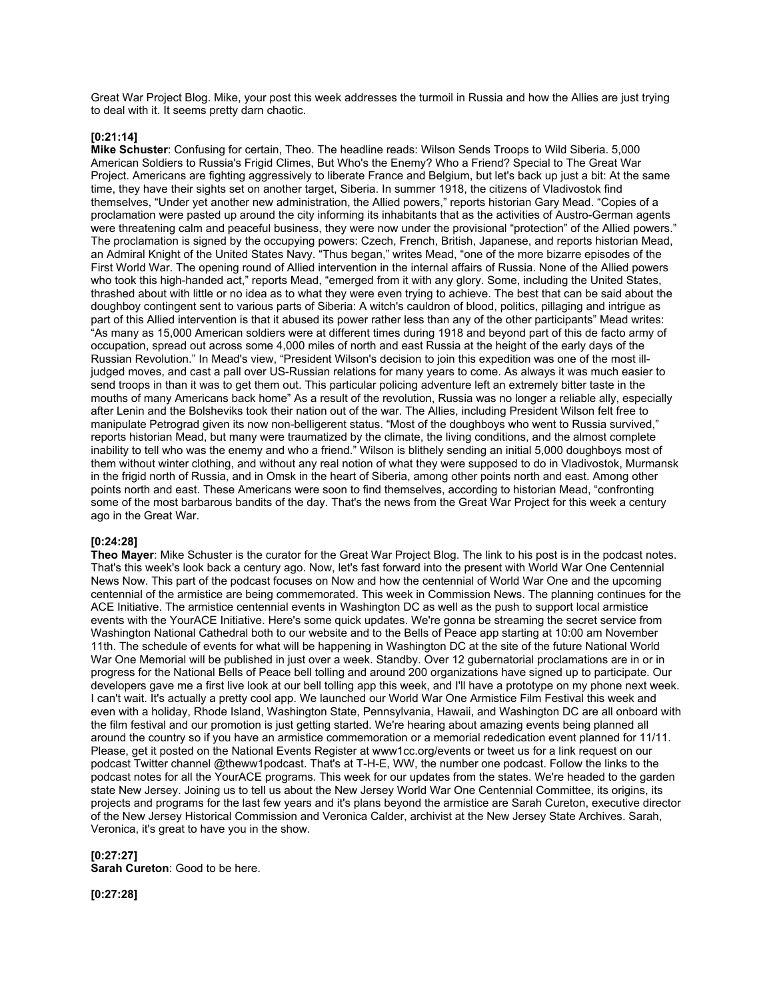Great War Project Blog. Mike, your post this week addresses the turmoil in Russia and how the Allies are just trying to deal with it. It seems pretty darn chaotic.

### **[0:21:14]**

**Mike Schuster**: Confusing for certain, Theo. The headline reads: Wilson Sends Troops to Wild Siberia. 5,000 American Soldiers to Russia's Frigid Climes, But Who's the Enemy? Who a Friend? Special to The Great War Project. Americans are fighting aggressively to liberate France and Belgium, but let's back up just a bit: At the same time, they have their sights set on another target, Siberia. In summer 1918, the citizens of Vladivostok find themselves, "Under yet another new administration, the Allied powers," reports historian Gary Mead. "Copies of a proclamation were pasted up around the city informing its inhabitants that as the activities of Austro-German agents were threatening calm and peaceful business, they were now under the provisional "protection" of the Allied powers." The proclamation is signed by the occupying powers: Czech, French, British, Japanese, and reports historian Mead, an Admiral Knight of the United States Navy. "Thus began," writes Mead, "one of the more bizarre episodes of the First World War. The opening round of Allied intervention in the internal affairs of Russia. None of the Allied powers who took this high-handed act," reports Mead, "emerged from it with any glory. Some, including the United States, thrashed about with little or no idea as to what they were even trying to achieve. The best that can be said about the doughboy contingent sent to various parts of Siberia: A witch's cauldron of blood, politics, pillaging and intrigue as part of this Allied intervention is that it abused its power rather less than any of the other participants" Mead writes: "As many as 15,000 American soldiers were at different times during 1918 and beyond part of this de facto army of occupation, spread out across some 4,000 miles of north and east Russia at the height of the early days of the Russian Revolution." In Mead's view, "President Wilson's decision to join this expedition was one of the most illjudged moves, and cast a pall over US-Russian relations for many years to come. As always it was much easier to send troops in than it was to get them out. This particular policing adventure left an extremely bitter taste in the mouths of many Americans back home" As a result of the revolution, Russia was no longer a reliable ally, especially after Lenin and the Bolsheviks took their nation out of the war. The Allies, including President Wilson felt free to manipulate Petrograd given its now non-belligerent status. "Most of the doughboys who went to Russia survived," reports historian Mead, but many were traumatized by the climate, the living conditions, and the almost complete inability to tell who was the enemy and who a friend." Wilson is blithely sending an initial 5,000 doughboys most of them without winter clothing, and without any real notion of what they were supposed to do in Vladivostok, Murmansk in the frigid north of Russia, and in Omsk in the heart of Siberia, among other points north and east. Among other points north and east. These Americans were soon to find themselves, according to historian Mead, "confronting some of the most barbarous bandits of the day. That's the news from the Great War Project for this week a century ago in the Great War.

## **[0:24:28]**

**Theo Mayer**: Mike Schuster is the curator for the Great War Project Blog. The link to his post is in the podcast notes. That's this week's look back a century ago. Now, let's fast forward into the present with World War One Centennial News Now. This part of the podcast focuses on Now and how the centennial of World War One and the upcoming centennial of the armistice are being commemorated. This week in Commission News. The planning continues for the ACE Initiative. The armistice centennial events in Washington DC as well as the push to support local armistice events with the YourACE Initiative. Here's some quick updates. We're gonna be streaming the secret service from Washington National Cathedral both to our website and to the Bells of Peace app starting at 10:00 am November 11th. The schedule of events for what will be happening in Washington DC at the site of the future National World War One Memorial will be published in just over a week. Standby. Over 12 gubernatorial proclamations are in or in progress for the National Bells of Peace bell tolling and around 200 organizations have signed up to participate. Our developers gave me a first live look at our bell tolling app this week, and I'll have a prototype on my phone next week. I can't wait. It's actually a pretty cool app. We launched our World War One Armistice Film Festival this week and even with a holiday, Rhode Island, Washington State, Pennsylvania, Hawaii, and Washington DC are all onboard with the film festival and our promotion is just getting started. We're hearing about amazing events being planned all around the country so if you have an armistice commemoration or a memorial rededication event planned for 11/11. Please, get it posted on the National Events Register at www1cc.org/events or tweet us for a link request on our podcast Twitter channel @theww1podcast. That's at T-H-E, WW, the number one podcast. Follow the links to the podcast notes for all the YourACE programs. This week for our updates from the states. We're headed to the garden state New Jersey. Joining us to tell us about the New Jersey World War One Centennial Committee, its origins, its projects and programs for the last few years and it's plans beyond the armistice are Sarah Cureton, executive director of the New Jersey Historical Commission and Veronica Calder, archivist at the New Jersey State Archives. Sarah, Veronica, it's great to have you in the show.

### **[0:27:27]**

**Sarah Cureton**: Good to be here.

**[0:27:28]**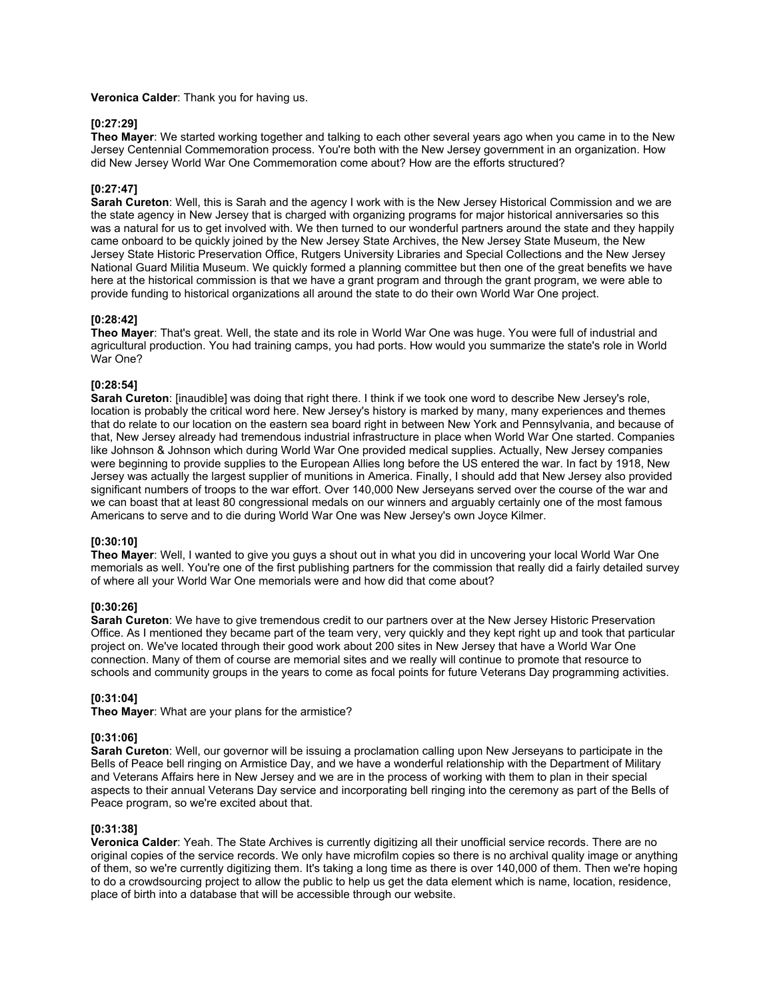#### **Veronica Calder**: Thank you for having us.

### **[0:27:29]**

**Theo Mayer**: We started working together and talking to each other several years ago when you came in to the New Jersey Centennial Commemoration process. You're both with the New Jersey government in an organization. How did New Jersey World War One Commemoration come about? How are the efforts structured?

### **[0:27:47]**

**Sarah Cureton**: Well, this is Sarah and the agency I work with is the New Jersey Historical Commission and we are the state agency in New Jersey that is charged with organizing programs for major historical anniversaries so this was a natural for us to get involved with. We then turned to our wonderful partners around the state and they happily came onboard to be quickly joined by the New Jersey State Archives, the New Jersey State Museum, the New Jersey State Historic Preservation Office, Rutgers University Libraries and Special Collections and the New Jersey National Guard Militia Museum. We quickly formed a planning committee but then one of the great benefits we have here at the historical commission is that we have a grant program and through the grant program, we were able to provide funding to historical organizations all around the state to do their own World War One project.

### **[0:28:42]**

**Theo Mayer**: That's great. Well, the state and its role in World War One was huge. You were full of industrial and agricultural production. You had training camps, you had ports. How would you summarize the state's role in World War One?

### **[0:28:54]**

**Sarah Cureton**: [inaudible] was doing that right there. I think if we took one word to describe New Jersey's role, location is probably the critical word here. New Jersey's history is marked by many, many experiences and themes that do relate to our location on the eastern sea board right in between New York and Pennsylvania, and because of that, New Jersey already had tremendous industrial infrastructure in place when World War One started. Companies like Johnson & Johnson which during World War One provided medical supplies. Actually, New Jersey companies were beginning to provide supplies to the European Allies long before the US entered the war. In fact by 1918, New Jersey was actually the largest supplier of munitions in America. Finally, I should add that New Jersey also provided significant numbers of troops to the war effort. Over 140,000 New Jerseyans served over the course of the war and we can boast that at least 80 congressional medals on our winners and arguably certainly one of the most famous Americans to serve and to die during World War One was New Jersey's own Joyce Kilmer.

# **[0:30:10]**

**Theo Mayer**: Well, I wanted to give you guys a shout out in what you did in uncovering your local World War One memorials as well. You're one of the first publishing partners for the commission that really did a fairly detailed survey of where all your World War One memorials were and how did that come about?

### **[0:30:26]**

**Sarah Cureton**: We have to give tremendous credit to our partners over at the New Jersey Historic Preservation Office. As I mentioned they became part of the team very, very quickly and they kept right up and took that particular project on. We've located through their good work about 200 sites in New Jersey that have a World War One connection. Many of them of course are memorial sites and we really will continue to promote that resource to schools and community groups in the years to come as focal points for future Veterans Day programming activities.

### **[0:31:04]**

**Theo Mayer**: What are your plans for the armistice?

### **[0:31:06]**

**Sarah Cureton**: Well, our governor will be issuing a proclamation calling upon New Jerseyans to participate in the Bells of Peace bell ringing on Armistice Day, and we have a wonderful relationship with the Department of Military and Veterans Affairs here in New Jersey and we are in the process of working with them to plan in their special aspects to their annual Veterans Day service and incorporating bell ringing into the ceremony as part of the Bells of Peace program, so we're excited about that.

### **[0:31:38]**

**Veronica Calder**: Yeah. The State Archives is currently digitizing all their unofficial service records. There are no original copies of the service records. We only have microfilm copies so there is no archival quality image or anything of them, so we're currently digitizing them. It's taking a long time as there is over 140,000 of them. Then we're hoping to do a crowdsourcing project to allow the public to help us get the data element which is name, location, residence, place of birth into a database that will be accessible through our website.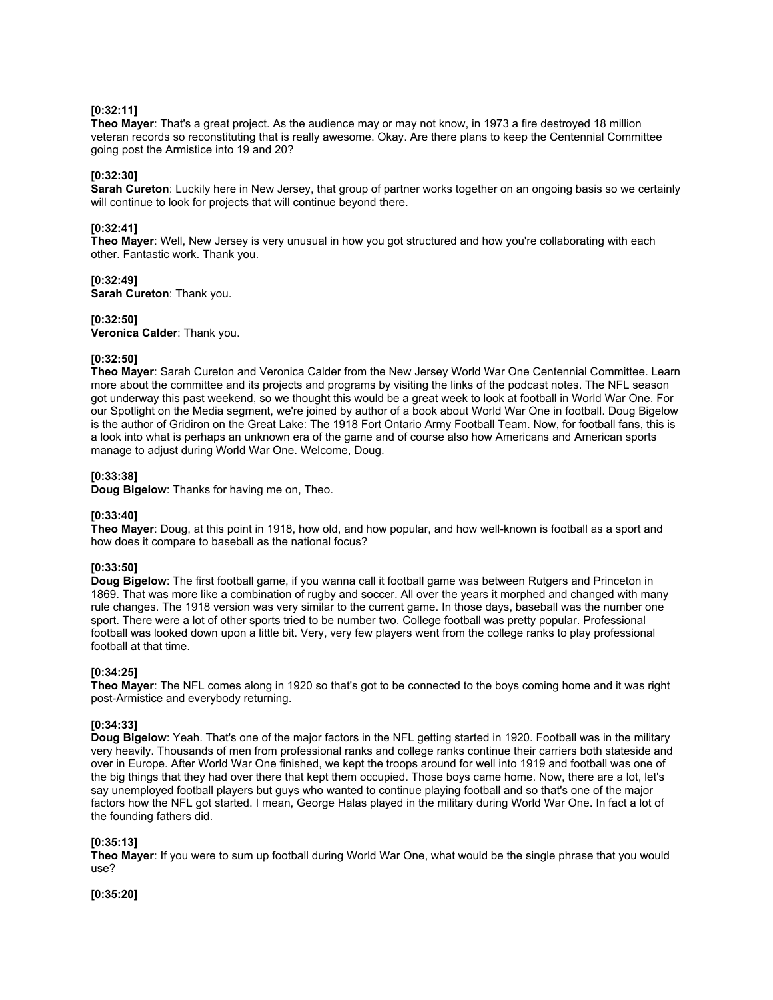## **[0:32:11]**

**Theo Mayer**: That's a great project. As the audience may or may not know, in 1973 a fire destroyed 18 million veteran records so reconstituting that is really awesome. Okay. Are there plans to keep the Centennial Committee going post the Armistice into 19 and 20?

### **[0:32:30]**

**Sarah Cureton**: Luckily here in New Jersey, that group of partner works together on an ongoing basis so we certainly will continue to look for projects that will continue beyond there.

### **[0:32:41]**

**Theo Mayer**: Well, New Jersey is very unusual in how you got structured and how you're collaborating with each other. Fantastic work. Thank you.

## **[0:32:49]**

**Sarah Cureton**: Thank you.

## **[0:32:50]**

**Veronica Calder**: Thank you.

## **[0:32:50]**

**Theo Mayer**: Sarah Cureton and Veronica Calder from the New Jersey World War One Centennial Committee. Learn more about the committee and its projects and programs by visiting the links of the podcast notes. The NFL season got underway this past weekend, so we thought this would be a great week to look at football in World War One. For our Spotlight on the Media segment, we're joined by author of a book about World War One in football. Doug Bigelow is the author of Gridiron on the Great Lake: The 1918 Fort Ontario Army Football Team. Now, for football fans, this is a look into what is perhaps an unknown era of the game and of course also how Americans and American sports manage to adjust during World War One. Welcome, Doug.

## **[0:33:38]**

**Doug Bigelow**: Thanks for having me on, Theo.

### **[0:33:40]**

**Theo Mayer**: Doug, at this point in 1918, how old, and how popular, and how well-known is football as a sport and how does it compare to baseball as the national focus?

# **[0:33:50]**

**Doug Bigelow**: The first football game, if you wanna call it football game was between Rutgers and Princeton in 1869. That was more like a combination of rugby and soccer. All over the years it morphed and changed with many rule changes. The 1918 version was very similar to the current game. In those days, baseball was the number one sport. There were a lot of other sports tried to be number two. College football was pretty popular. Professional football was looked down upon a little bit. Very, very few players went from the college ranks to play professional football at that time.

### **[0:34:25]**

**Theo Mayer**: The NFL comes along in 1920 so that's got to be connected to the boys coming home and it was right post-Armistice and everybody returning.

## **[0:34:33]**

**Doug Bigelow**: Yeah. That's one of the major factors in the NFL getting started in 1920. Football was in the military very heavily. Thousands of men from professional ranks and college ranks continue their carriers both stateside and over in Europe. After World War One finished, we kept the troops around for well into 1919 and football was one of the big things that they had over there that kept them occupied. Those boys came home. Now, there are a lot, let's say unemployed football players but guys who wanted to continue playing football and so that's one of the major factors how the NFL got started. I mean, George Halas played in the military during World War One. In fact a lot of the founding fathers did.

# **[0:35:13]**

**Theo Mayer**: If you were to sum up football during World War One, what would be the single phrase that you would use?

**[0:35:20]**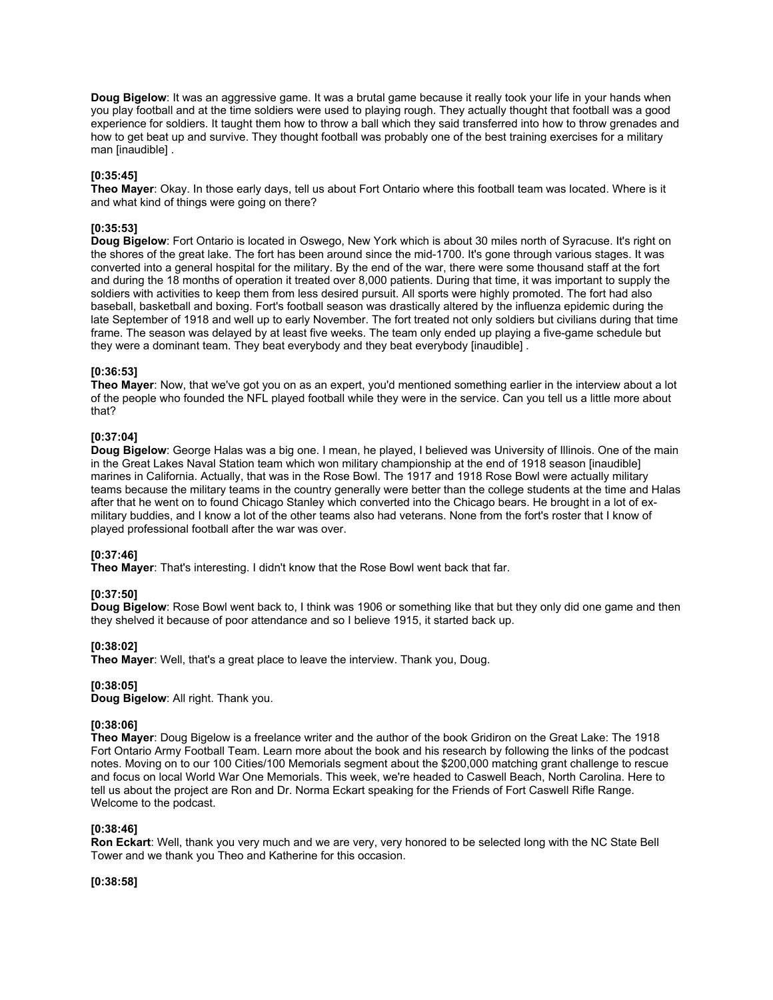**Doug Bigelow**: It was an aggressive game. It was a brutal game because it really took your life in your hands when you play football and at the time soldiers were used to playing rough. They actually thought that football was a good experience for soldiers. It taught them how to throw a ball which they said transferred into how to throw grenades and how to get beat up and survive. They thought football was probably one of the best training exercises for a military man [inaudible] .

# **[0:35:45]**

**Theo Mayer**: Okay. In those early days, tell us about Fort Ontario where this football team was located. Where is it and what kind of things were going on there?

## **[0:35:53]**

**Doug Bigelow**: Fort Ontario is located in Oswego, New York which is about 30 miles north of Syracuse. It's right on the shores of the great lake. The fort has been around since the mid-1700. It's gone through various stages. It was converted into a general hospital for the military. By the end of the war, there were some thousand staff at the fort and during the 18 months of operation it treated over 8,000 patients. During that time, it was important to supply the soldiers with activities to keep them from less desired pursuit. All sports were highly promoted. The fort had also baseball, basketball and boxing. Fort's football season was drastically altered by the influenza epidemic during the late September of 1918 and well up to early November. The fort treated not only soldiers but civilians during that time frame. The season was delayed by at least five weeks. The team only ended up playing a five-game schedule but they were a dominant team. They beat everybody and they beat everybody [inaudible] .

### **[0:36:53]**

**Theo Mayer**: Now, that we've got you on as an expert, you'd mentioned something earlier in the interview about a lot of the people who founded the NFL played football while they were in the service. Can you tell us a little more about that?

## **[0:37:04]**

**Doug Bigelow**: George Halas was a big one. I mean, he played, I believed was University of Illinois. One of the main in the Great Lakes Naval Station team which won military championship at the end of 1918 season [inaudible] marines in California. Actually, that was in the Rose Bowl. The 1917 and 1918 Rose Bowl were actually military teams because the military teams in the country generally were better than the college students at the time and Halas after that he went on to found Chicago Stanley which converted into the Chicago bears. He brought in a lot of exmilitary buddies, and I know a lot of the other teams also had veterans. None from the fort's roster that I know of played professional football after the war was over.

### **[0:37:46]**

**Theo Mayer**: That's interesting. I didn't know that the Rose Bowl went back that far.

# **[0:37:50]**

**Doug Bigelow**: Rose Bowl went back to, I think was 1906 or something like that but they only did one game and then they shelved it because of poor attendance and so I believe 1915, it started back up.

# **[0:38:02]**

**Theo Mayer**: Well, that's a great place to leave the interview. Thank you, Doug.

### **[0:38:05]**

**Doug Bigelow**: All right. Thank you.

## **[0:38:06]**

**Theo Mayer**: Doug Bigelow is a freelance writer and the author of the book Gridiron on the Great Lake: The 1918 Fort Ontario Army Football Team. Learn more about the book and his research by following the links of the podcast notes. Moving on to our 100 Cities/100 Memorials segment about the \$200,000 matching grant challenge to rescue and focus on local World War One Memorials. This week, we're headed to Caswell Beach, North Carolina. Here to tell us about the project are Ron and Dr. Norma Eckart speaking for the Friends of Fort Caswell Rifle Range. Welcome to the podcast.

### **[0:38:46]**

**Ron Eckart**: Well, thank you very much and we are very, very honored to be selected long with the NC State Bell Tower and we thank you Theo and Katherine for this occasion.

**[0:38:58]**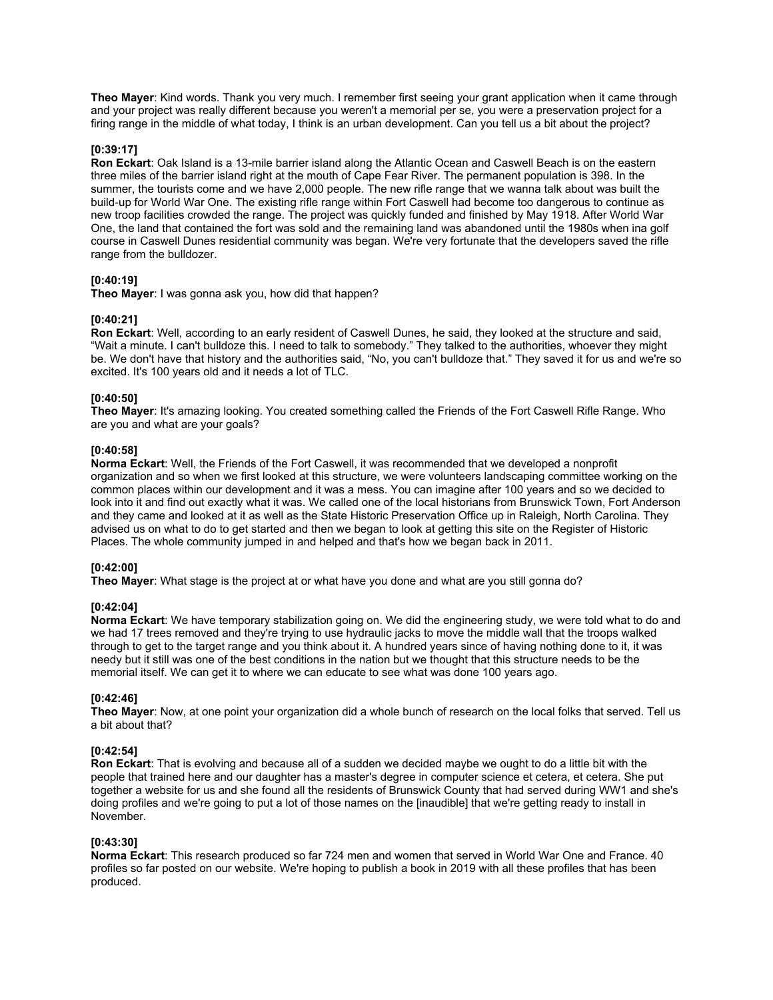**Theo Mayer**: Kind words. Thank you very much. I remember first seeing your grant application when it came through and your project was really different because you weren't a memorial per se, you were a preservation project for a firing range in the middle of what today, I think is an urban development. Can you tell us a bit about the project?

### **[0:39:17]**

**Ron Eckart**: Oak Island is a 13-mile barrier island along the Atlantic Ocean and Caswell Beach is on the eastern three miles of the barrier island right at the mouth of Cape Fear River. The permanent population is 398. In the summer, the tourists come and we have 2,000 people. The new rifle range that we wanna talk about was built the build-up for World War One. The existing rifle range within Fort Caswell had become too dangerous to continue as new troop facilities crowded the range. The project was quickly funded and finished by May 1918. After World War One, the land that contained the fort was sold and the remaining land was abandoned until the 1980s when ina golf course in Caswell Dunes residential community was began. We're very fortunate that the developers saved the rifle range from the bulldozer.

## **[0:40:19]**

**Theo Mayer**: I was gonna ask you, how did that happen?

## **[0:40:21]**

**Ron Eckart**: Well, according to an early resident of Caswell Dunes, he said, they looked at the structure and said, "Wait a minute. I can't bulldoze this. I need to talk to somebody." They talked to the authorities, whoever they might be. We don't have that history and the authorities said, "No, you can't bulldoze that." They saved it for us and we're so excited. It's 100 years old and it needs a lot of TLC.

# **[0:40:50]**

**Theo Mayer**: It's amazing looking. You created something called the Friends of the Fort Caswell Rifle Range. Who are you and what are your goals?

## **[0:40:58]**

**Norma Eckart**: Well, the Friends of the Fort Caswell, it was recommended that we developed a nonprofit organization and so when we first looked at this structure, we were volunteers landscaping committee working on the common places within our development and it was a mess. You can imagine after 100 years and so we decided to look into it and find out exactly what it was. We called one of the local historians from Brunswick Town, Fort Anderson and they came and looked at it as well as the State Historic Preservation Office up in Raleigh, North Carolina. They advised us on what to do to get started and then we began to look at getting this site on the Register of Historic Places. The whole community jumped in and helped and that's how we began back in 2011.

# **[0:42:00]**

**Theo Mayer**: What stage is the project at or what have you done and what are you still gonna do?

### **[0:42:04]**

**Norma Eckart**: We have temporary stabilization going on. We did the engineering study, we were told what to do and we had 17 trees removed and they're trying to use hydraulic jacks to move the middle wall that the troops walked through to get to the target range and you think about it. A hundred years since of having nothing done to it, it was needy but it still was one of the best conditions in the nation but we thought that this structure needs to be the memorial itself. We can get it to where we can educate to see what was done 100 years ago.

### **[0:42:46]**

**Theo Mayer**: Now, at one point your organization did a whole bunch of research on the local folks that served. Tell us a bit about that?

# **[0:42:54]**

**Ron Eckart**: That is evolving and because all of a sudden we decided maybe we ought to do a little bit with the people that trained here and our daughter has a master's degree in computer science et cetera, et cetera. She put together a website for us and she found all the residents of Brunswick County that had served during WW1 and she's doing profiles and we're going to put a lot of those names on the [inaudible] that we're getting ready to install in November.

### **[0:43:30]**

**Norma Eckart**: This research produced so far 724 men and women that served in World War One and France. 40 profiles so far posted on our website. We're hoping to publish a book in 2019 with all these profiles that has been produced.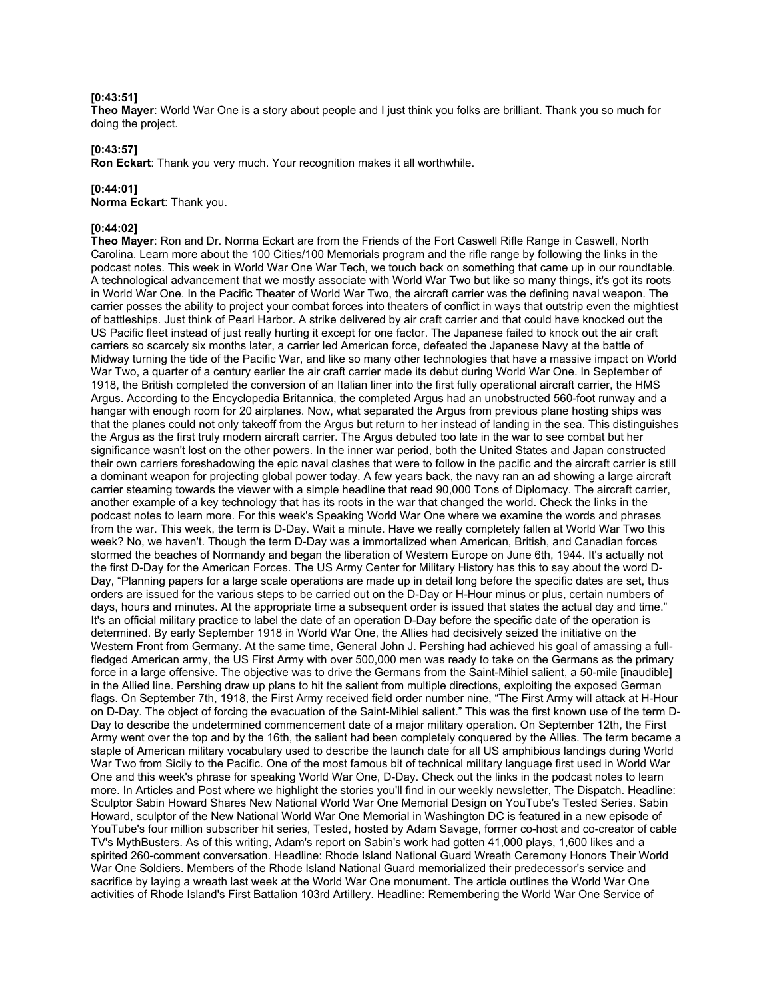#### **[0:43:51]**

**Theo Mayer**: World War One is a story about people and I just think you folks are brilliant. Thank you so much for doing the project.

#### **[0:43:57]**

**Ron Eckart**: Thank you very much. Your recognition makes it all worthwhile.

#### **[0:44:01]**

**Norma Eckart**: Thank you.

# **[0:44:02]**

**Theo Mayer**: Ron and Dr. Norma Eckart are from the Friends of the Fort Caswell Rifle Range in Caswell, North Carolina. Learn more about the 100 Cities/100 Memorials program and the rifle range by following the links in the podcast notes. This week in World War One War Tech, we touch back on something that came up in our roundtable. A technological advancement that we mostly associate with World War Two but like so many things, it's got its roots in World War One. In the Pacific Theater of World War Two, the aircraft carrier was the defining naval weapon. The carrier posses the ability to project your combat forces into theaters of conflict in ways that outstrip even the mightiest of battleships. Just think of Pearl Harbor. A strike delivered by air craft carrier and that could have knocked out the US Pacific fleet instead of just really hurting it except for one factor. The Japanese failed to knock out the air craft carriers so scarcely six months later, a carrier led American force, defeated the Japanese Navy at the battle of Midway turning the tide of the Pacific War, and like so many other technologies that have a massive impact on World War Two, a quarter of a century earlier the air craft carrier made its debut during World War One. In September of 1918, the British completed the conversion of an Italian liner into the first fully operational aircraft carrier, the HMS Argus. According to the Encyclopedia Britannica, the completed Argus had an unobstructed 560-foot runway and a hangar with enough room for 20 airplanes. Now, what separated the Argus from previous plane hosting ships was that the planes could not only takeoff from the Argus but return to her instead of landing in the sea. This distinguishes the Argus as the first truly modern aircraft carrier. The Argus debuted too late in the war to see combat but her significance wasn't lost on the other powers. In the inner war period, both the United States and Japan constructed their own carriers foreshadowing the epic naval clashes that were to follow in the pacific and the aircraft carrier is still a dominant weapon for projecting global power today. A few years back, the navy ran an ad showing a large aircraft carrier steaming towards the viewer with a simple headline that read 90,000 Tons of Diplomacy. The aircraft carrier, another example of a key technology that has its roots in the war that changed the world. Check the links in the podcast notes to learn more. For this week's Speaking World War One where we examine the words and phrases from the war. This week, the term is D-Day. Wait a minute. Have we really completely fallen at World War Two this week? No, we haven't. Though the term D-Day was a immortalized when American, British, and Canadian forces stormed the beaches of Normandy and began the liberation of Western Europe on June 6th, 1944. It's actually not the first D-Day for the American Forces. The US Army Center for Military History has this to say about the word D-Day, "Planning papers for a large scale operations are made up in detail long before the specific dates are set, thus orders are issued for the various steps to be carried out on the D-Day or H-Hour minus or plus, certain numbers of days, hours and minutes. At the appropriate time a subsequent order is issued that states the actual day and time." It's an official military practice to label the date of an operation D-Day before the specific date of the operation is determined. By early September 1918 in World War One, the Allies had decisively seized the initiative on the Western Front from Germany. At the same time, General John J. Pershing had achieved his goal of amassing a fullfledged American army, the US First Army with over 500,000 men was ready to take on the Germans as the primary force in a large offensive. The objective was to drive the Germans from the Saint-Mihiel salient, a 50-mile [inaudible] in the Allied line. Pershing draw up plans to hit the salient from multiple directions, exploiting the exposed German flags. On September 7th, 1918, the First Army received field order number nine, "The First Army will attack at H-Hour on D-Day. The object of forcing the evacuation of the Saint-Mihiel salient." This was the first known use of the term D-Day to describe the undetermined commencement date of a major military operation. On September 12th, the First Army went over the top and by the 16th, the salient had been completely conquered by the Allies. The term became a staple of American military vocabulary used to describe the launch date for all US amphibious landings during World War Two from Sicily to the Pacific. One of the most famous bit of technical military language first used in World War One and this week's phrase for speaking World War One, D-Day. Check out the links in the podcast notes to learn more. In Articles and Post where we highlight the stories you'll find in our weekly newsletter, The Dispatch. Headline: Sculptor Sabin Howard Shares New National World War One Memorial Design on YouTube's Tested Series. Sabin Howard, sculptor of the New National World War One Memorial in Washington DC is featured in a new episode of YouTube's four million subscriber hit series, Tested, hosted by Adam Savage, former co-host and co-creator of cable TV's MythBusters. As of this writing, Adam's report on Sabin's work had gotten 41,000 plays, 1,600 likes and a spirited 260-comment conversation. Headline: Rhode Island National Guard Wreath Ceremony Honors Their World War One Soldiers. Members of the Rhode Island National Guard memorialized their predecessor's service and sacrifice by laying a wreath last week at the World War One monument. The article outlines the World War One activities of Rhode Island's First Battalion 103rd Artillery. Headline: Remembering the World War One Service of